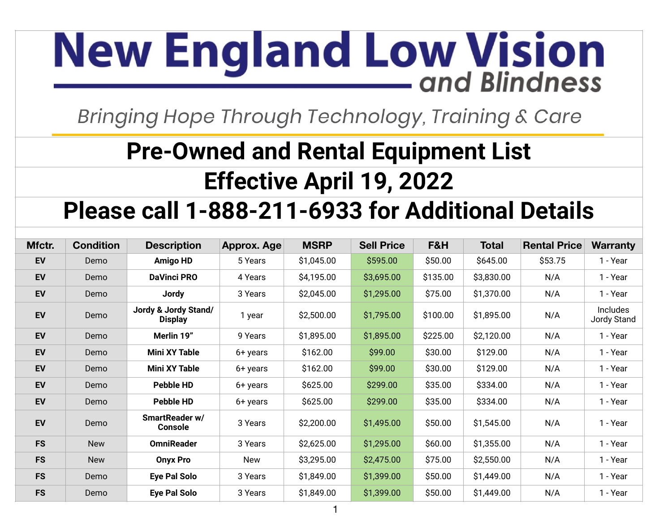## **New England Low Vision** - and Blindness

Bringing Hope Through Technology, Training & Care

## **Pre-Owned and Rental Equipment List Effective April 19, 2022**

## **Please call 1-888-211-6933 for Additional Details**

| Mfctr.    | <b>Condition</b> | <b>Description</b>                     | Approx. Age | <b>MSRP</b> | <b>Sell Price</b> | F&H      | <b>Total</b> | <b>Rental Price</b> | <b>Warranty</b>         |
|-----------|------------------|----------------------------------------|-------------|-------------|-------------------|----------|--------------|---------------------|-------------------------|
| EV        | Demo             | Amigo HD                               | 5 Years     | \$1,045.00  | \$595.00          | \$50.00  | \$645.00     | \$53.75             | 1 - Year                |
| <b>EV</b> | Demo             | <b>DaVinci PRO</b>                     | 4 Years     | \$4,195.00  | \$3,695.00        | \$135.00 | \$3,830.00   | N/A                 | 1 - Year                |
| <b>EV</b> | Demo             | <b>Jordy</b>                           | 3 Years     | \$2,045.00  | \$1,295.00        | \$75.00  | \$1,370.00   | N/A                 | 1 - Year                |
| <b>EV</b> | Demo             | Jordy & Jordy Stand/<br><b>Display</b> | 1 year      | \$2,500.00  | \$1,795.00        | \$100.00 | \$1,895.00   | N/A                 | Includes<br>Jordy Stand |
| <b>EV</b> | Demo             | Merlin 19"                             | 9 Years     | \$1,895.00  | \$1,895.00        | \$225.00 | \$2,120.00   | N/A                 | 1 - Year                |
| EV        | Demo             | <b>Mini XY Table</b>                   | 6+ years    | \$162.00    | \$99.00           | \$30.00  | \$129.00     | N/A                 | 1 - Year                |
| <b>EV</b> | Demo             | <b>Mini XY Table</b>                   | 6+ years    | \$162.00    | \$99.00           | \$30.00  | \$129.00     | N/A                 | 1 - Year                |
| <b>EV</b> | Demo             | <b>Pebble HD</b>                       | 6+ years    | \$625.00    | \$299.00          | \$35.00  | \$334.00     | N/A                 | 1 - Year                |
| <b>EV</b> | Demo             | <b>Pebble HD</b>                       | 6+ years    | \$625.00    | \$299.00          | \$35.00  | \$334.00     | N/A                 | 1 - Year                |
| <b>EV</b> | Demo             | SmartReader w/<br><b>Console</b>       | 3 Years     | \$2,200.00  | \$1,495.00        | \$50.00  | \$1,545.00   | N/A                 | 1 - Year                |
| <b>FS</b> | <b>New</b>       | <b>OmniReader</b>                      | 3 Years     | \$2,625.00  | \$1,295.00        | \$60.00  | \$1,355.00   | N/A                 | 1 - Year                |
| <b>FS</b> | <b>New</b>       | <b>Onyx Pro</b>                        | New         | \$3,295.00  | \$2,475.00        | \$75.00  | \$2,550.00   | N/A                 | 1 - Year                |
| <b>FS</b> | Demo             | Eye Pal Solo                           | 3 Years     | \$1,849.00  | \$1,399.00        | \$50.00  | \$1,449.00   | N/A                 | 1 - Year                |
| <b>FS</b> | Demo             | <b>Eye Pal Solo</b>                    | 3 Years     | \$1,849.00  | \$1,399.00        | \$50.00  | \$1,449.00   | N/A                 | 1 - Year                |